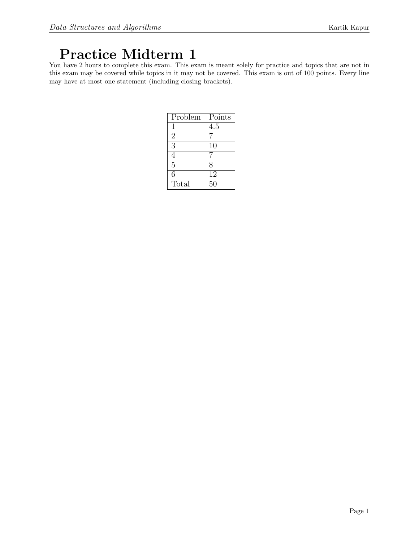# Practice Midterm 1

You have 2 hours to complete this exam. This exam is meant solely for practice and topics that are not in this exam may be covered while topics in it may not be covered. This exam is out of 100 points. Every line may have at most one statement (including closing brackets).

| Problem        | Points |
|----------------|--------|
|                | 4.5    |
| $\overline{2}$ |        |
| 3              | 10     |
| 4              |        |
| $\overline{5}$ | 8      |
| 6              | 12     |
| Total          | 50     |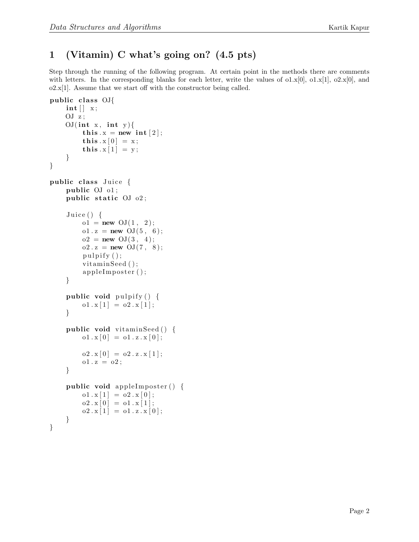# 1 (Vitamin) C what's going on? (4.5 pts)

Step through the running of the following program. At certain point in the methods there are comments with letters. In the corresponding blanks for each letter, write the values of  $\sigma$ 1.x[0],  $\sigma$ 1.x[1],  $\sigma$ 2.x[0], and  $o2.x[1]$ . Assume that we start off with the constructor being called.

```
public class OJ{
     \mathbf{int} \left[ \ \right] \ x;OJ z;
     OJ(int x, int y){
           this x = new int [2];this .x [0] = x;this x[1] = y;}
}
public class Juice {
     public OJ o1 ;
     public static OJ_02;
     Juice() \{o1 = new \; OJ(1, 2);o1. z = new OJ(5, 6);
          o2 = new \text{OJ}(3, 4);o2 \t{.} z = new \tOJ(7, 8);pulpify();
           vitaminSeed ();
           appleImposter ();
     }
     public void pulpify () {
          o1 \cdot x [1] = o2 \cdot x [1];}
     public void vitaminSeed () {
          o1 \cdot x [0] = o1 \cdot z \cdot x [0];o2 \cdot x [0] = o2 \cdot z \cdot x [1];o1 x = o2;}
     public void apple Imposter () \{o1 \cdot x [1] = o2 \cdot x [0];o2 \cdot x [0] = o1 \cdot x [1];o2 \cdot x [1] = o1 \cdot z \cdot x [0];}
}
```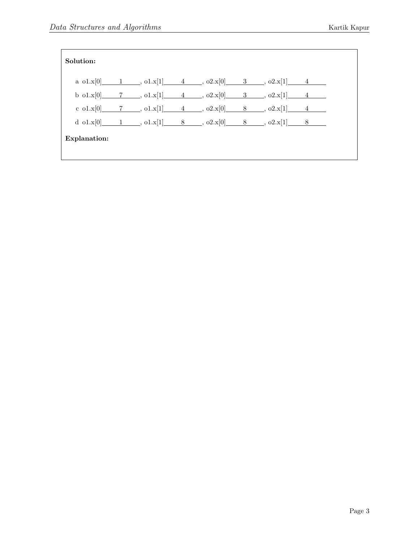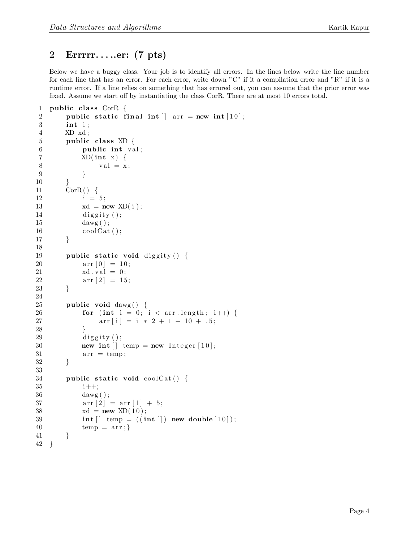# 2 Errrrr. . . ..er: (7 pts)

Below we have a buggy class. Your job is to identify all errors. In the lines below write the line number for each line that has an error. For each error, write down "C" if it a compilation error and "R" if it is a runtime error. If a line relies on something that has errored out, you can assume that the prior error was fixed. Assume we start off by instantiating the class CorR. There are at most 10 errors total.

```
1 public class CorR \{2 public static final int \vert \vert arr = new int [10];
3 int i ;
4 XD xd ;
5 public class XD \{6 public int val;
7 XD(int x) {
8 val = x;9 }
10 }
11 \qquad \qquad \text{CorR}() \quad \{12 i = 5;
13 xd = new \; XD(i);
14 diggity ();
15 dawg ( );
16 \qquad \qquad \text{coolCat}();
17 }
18
19 public static void diggity () {
20 \ar{r} [0] = 10;21 xd. val = 0;22 \ar{r} [2] = 15;23 }
24
25 public void dawg() {
26 for (int i = 0; i < arr length; i++) {
27 \ar{r[i]} = i * 2 + 1 - 10 + .5;28 }
29 diggity ();
30 new int \begin{bmatrix} \end{bmatrix} temp = new Integer \begin{bmatrix} 10 \end{bmatrix};
31 \quad \text{arr} = \text{temp};32 }
33
34 public static void coolCat() {
35 i ++;
36 dawg ( ) ;
37 \ar{array}[1] = \ar{array}[1] + 5;38 xd = new \, \text{XD}(10);39 int \begin{bmatrix} \end{bmatrix} temp = ((\text{int } \begin{bmatrix} \end{bmatrix}) new double [10]);
40 temp = arr;41 }
42 }
```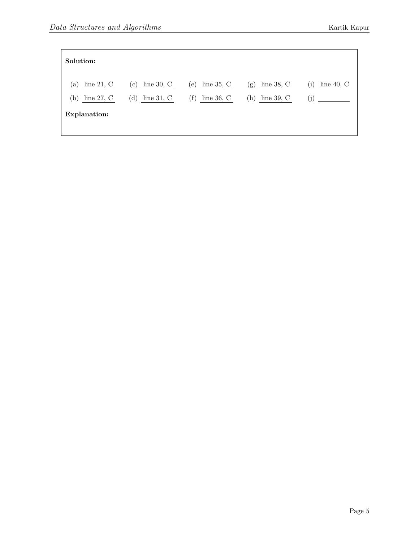| Solution:                                  |                                                 |                                                     |                                            |                                       |
|--------------------------------------------|-------------------------------------------------|-----------------------------------------------------|--------------------------------------------|---------------------------------------|
| line $21, C$<br>(a)<br>line $27, C$<br>(b) | line $30, C$<br>$\rm(c)$<br>line $31, C$<br>(d) | line $35, C$<br>(e)<br>$^{(\rm f)}$<br>line $36, C$ | line $38, C$<br>(g)<br>line $39, C$<br>(h) | line 40, $C$<br>$\rm(i)$<br>$\rm (j)$ |
| Explanation:                               |                                                 |                                                     |                                            |                                       |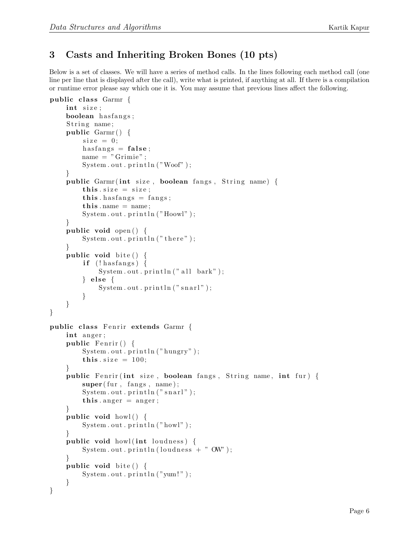# 3 Casts and Inheriting Broken Bones (10 pts)

Below is a set of classes. We will have a series of method calls. In the lines following each method call (one line per line that is displayed after the call), write what is printed, if anything at all. If there is a compilation or runtime error please say which one it is. You may assume that previous lines affect the following.

```
public class Garmr \{int size;
    boolean hasfangs;
    String name;
    public Garmr() {
        size = 0;
        has fangs = false;
        name = "Grimie";System.out.println("Woof");
    }
    public Garmr(int size, boolean fangs, String name) {
        this size = size;this . has fangs = fangs;
        this. name = name;
        System.out.println("Hoowl");}
    public void open () {
        System . out . printh(n ("there");
    }
    public void bite() {
        if (!has fangs) {
            System.out.println("all bark");\} else \{System.out.println("snarl");}
    }
}
public class Fenrir extends Garmr {
    int anger;
    public Fenrir() \{System.out.println("hungry");this size = 100;}
    public Fenrir (int size, boolean fangs, String name, int fur) {
        super(fur, fangs, name);System.out.println("snarl");this . anger = anger;
    }
    public void howl() {
        System.out.println("howl");}
    public void howl (int loudness) {
        System.out.println(loudness + " OW");
    }
    public void bite() {
        System.out.println("yum!");}
}
```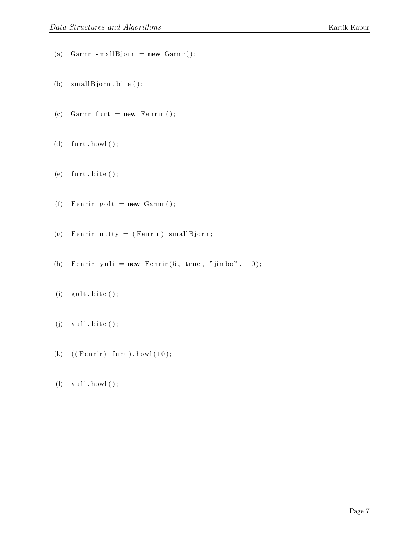- (a) Garmr smallBjorn =  $new$  Garmr();
- (b)  $small Bjorn.~bite()$ ;
- (c) Garmr furt =  $new$  Fenrir ();
- (d)  $furt.howl()$ ;
- (e)  $furt.bite()$ ;
- (f) Fenrir golt =  $new$  Garmr();
- (g) Fenrir nutty = (Fenrir) smallBjorn;
- (h) Fenrir yuli =  $new$  Fenrir  $(5, true, "jimbo", 10);$

 $\sim$ 

<u> 1989 - Johann Barn, mars ann an t-Alban an t-Alban ann an t-Alban ann an t-Alban ann an t-Alban ann an t-Alba</u>

<u> Alexandria (Carlo Carlo Carlo Carlo Carlo Carlo Carlo Carlo Carlo Carlo Carlo Carlo Carlo Carlo Carlo Carlo Ca</u>

- $(i)$  golt  $bite()$ ;
- $(j)$  yuli.bite  $();$
- (k)  $((\text{Fenrir}) \text{furt}) \text{. howl } (10);$
- $(l)$  yuli . howl();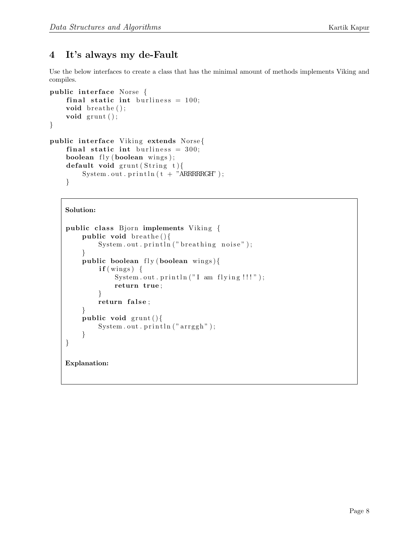# 4 It's always my de-Fault

Use the below interfaces to create a class that has the minimal amount of methods implements Viking and compiles.

```
public interface Norse {
    final static int burliness = 100;
    void breathe();
    void grunt ();
}
public interface Viking extends Norse{
    final static int burliness = 300;
    boolean fly (boolean wins);
    default void grunt (String t)System.out.println(t + "ARRRRRGHT ;
    }
```

```
public class Bjorn implements Viking {
    public void breathe(){
        System.out.println("breathing noise");}
    public boolean f(y \text{ boolean wins})if (wings) { }System.out.println("I am flying!!!);
            return true ;
        }
        return false;
    }
    public void grunt()System.out.println("arrayh");}
}
Explanation:
```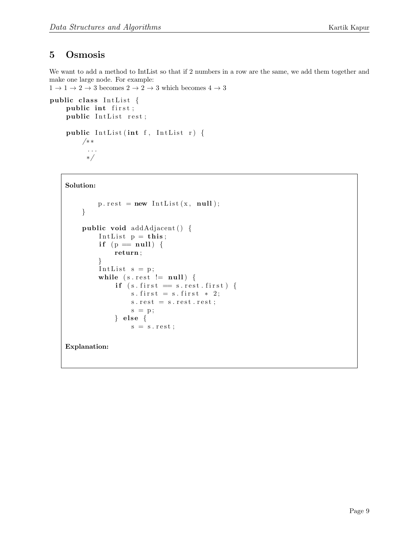### 5 Osmosis

We want to add a method to IntList so that if 2 numbers in a row are the same, we add them together and make one large node. For example:

```
1 \rightarrow 1 \rightarrow 2 \rightarrow 3 becomes 2 \rightarrow 2 \rightarrow 3 which becomes 4 \rightarrow 3
```

```
public class IntList {
    public int first;
    public IntList rest;
    public IntList (int f, IntList r) {
        /∗ ∗
          . . .
          ∗/
```

```
Solution:
```

```
p \text{.} rest = new IntList(x, null);}
     public void addAdjacent() {
          Intlist p = this;if (p = null) {
               return ;
          }
          IntList s = p;
          while (s.\,rest \ |=\ null) \ \{if (s. first == s. rest. first)s. first = s. first * 2;s \text{ . rest } = s \text{ . rest } . \text{ rest } ;s = p;\} else {
                    s = s \text{ . rest ;}Explanation:
```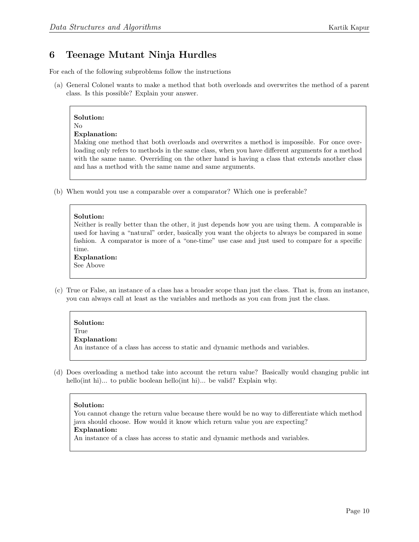# 6 Teenage Mutant Ninja Hurdles

For each of the following subproblems follow the instructions

(a) General Colonel wants to make a method that both overloads and overwrites the method of a parent class. Is this possible? Explain your answer.

# Solution:

#### No Explanation:

Making one method that both overloads and overwrites a method is impossible. For once overloading only refers to methods in the same class, when you have different arguments for a method with the same name. Overriding on the other hand is having a class that extends another class and has a method with the same name and same arguments.

(b) When would you use a comparable over a comparator? Which one is preferable?

#### Solution:

Neither is really better than the other, it just depends how you are using them. A comparable is used for having a "natural" order, basically you want the objects to always be compared in some fashion. A comparator is more of a "one-time" use case and just used to compare for a specific time.

#### Explanation:

See Above

(c) True or False, an instance of a class has a broader scope than just the class. That is, from an instance, you can always call at least as the variables and methods as you can from just the class.

#### Solution:

True

#### Explanation:

An instance of a class has access to static and dynamic methods and variables.

(d) Does overloading a method take into account the return value? Basically would changing public int hello(int hi)... to public boolean hello(int hi)... be valid? Explain why.

#### Solution:

You cannot change the return value because there would be no way to differentiate which method java should choose. How would it know which return value you are expecting? Explanation:

An instance of a class has access to static and dynamic methods and variables.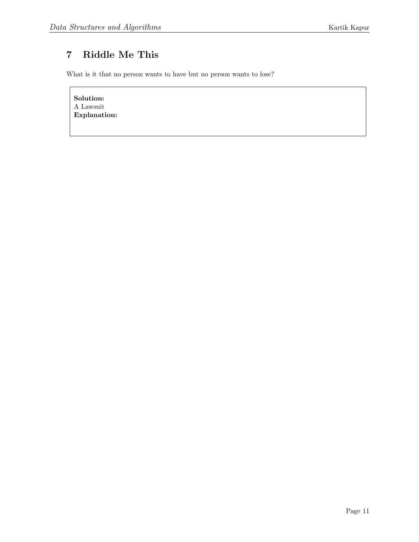# 7 Riddle Me This

What is it that no person wants to have but no person wants to lose?

Solution: A Lawsuit Explanation: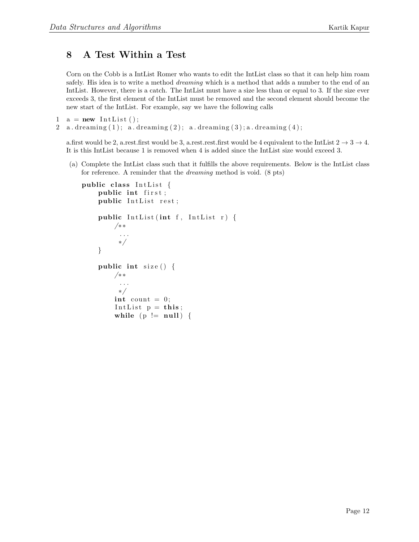### 8 A Test Within a Test

Corn on the Cobb is a IntList Romer who wants to edit the IntList class so that it can help him roam safely. His idea is to write a method *dreaming* which is a method that adds a number to the end of an IntList. However, there is a catch. The IntList must have a size less than or equal to 3. If the size ever exceeds 3, the first element of the IntList must be removed and the second element should become the new start of the IntList. For example, say we have the following calls

```
1 \quad a = new \text{ IntList } ();
```

```
2 a. dreaming (1); a. dreaming (2); a. dreaming (3); a. dreaming (4);
```
a.first would be 2, a.rest.first would be 3, a.rest.rest.first would be 4 equivalent to the IntList  $2 \rightarrow 3 \rightarrow 4$ . It is this IntList because 1 is removed when 4 is added since the IntList size would exceed 3.

(a) Complete the IntList class such that it fulfills the above requirements. Below is the IntList class for reference. A reminder that the dreaming method is void. (8 pts)

```
public class IntList {
    public int first;
    public IntList rest;
    public IntList (int f, IntList r) {
        /∗ ∗
          . . .
          ∗/
    }
    public int size() \{/∗ ∗
          . . .
          ∗/
        int count = 0;
         IntList p = this;while (p := null) {
```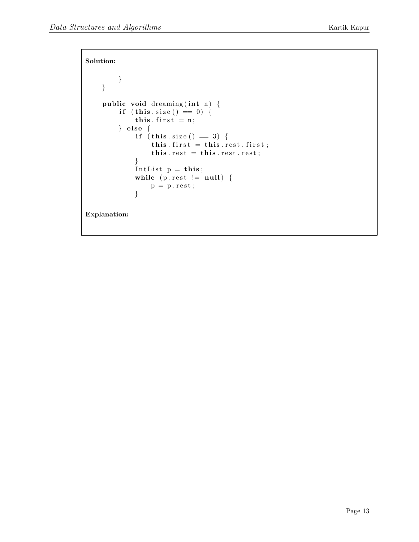```
Solution:
         }
    }
    public void dreaming (int n) {
         if (this.size() == 0) {
              this. first = n;
         \} else {
              if (this.size() = 3) {
                   this. first = this. rest. first;
                   this rest = this \t rest \t rest;}
              IntList p = this;
              while (p \text{.} \text{rest} != null) {
                  p = p \text{. rest};}
Explanation:
```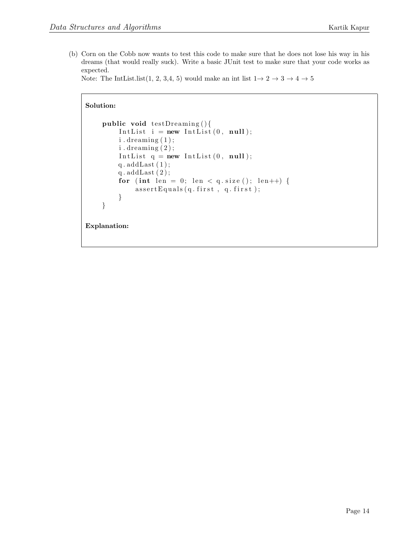(b) Corn on the Cobb now wants to test this code to make sure that he does not lose his way in his dreams (that would really suck). Write a basic JUnit test to make sure that your code works as expected.

Note: The IntList.list(1, 2, 3,4, 5) would make an int list  $1 \rightarrow 2 \rightarrow 3 \rightarrow 4 \rightarrow 5$ 

```
Solution:
    public void testDreaming () {
        IntList i = new IntList (0, null);
        i. dreaming (1);
        i. dreaming (2);
        IntList q = new IntList(0, null);q. addLast(1);q. addLast(2);
        for (int len = 0; len < q. size (); len++) {
             assertEquals(q.first, q.first);}
    }
Explanation:
```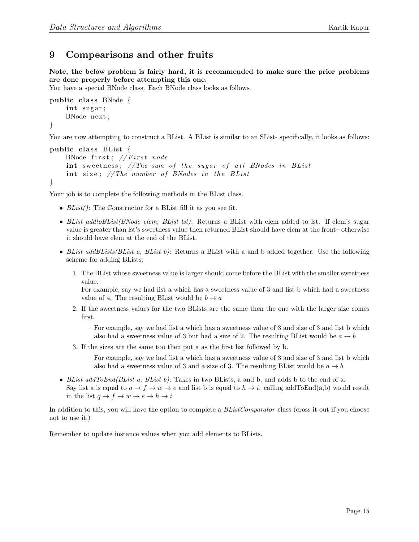# 9 Compearisons and other fruits

Note, the below problem is fairly hard, it is recommended to make sure the prior problems are done properly before attempting this one.

You have a special BNode class. Each BNode class looks as follows

```
public class BNode \{int sugar;
    BNode next ;
}
```
You are now attempting to construct a BList. A BList is similar to an SList- specifically, it looks as follows:

```
public class BList \{BNode first; // First nodeint sweetness; //The sum of the sugar of all BNodes in BList
    int size; // The number of BNodes in the BL ist
}
```
Your job is to complete the following methods in the BList class.

- $BList()$ : The Constructor for a BList fill it as you see fit.
- BList addtoBList(BNode elem, BList lst): Returns a BList with elem added to lst. If elem's sugar value is greater than lst's sweetness value then returned BList should have elem at the front– otherwise it should have elem at the end of the BList.
- BList addBLists(BList a, BList b): Returns a BList with a and b added together. Use the following scheme for adding BLists:
	- 1. The BList whose sweetness value is larger should come before the BList with the smaller sweetness value.

For example, say we had list a which has a sweetness value of 3 and list b which had a sweetness value of 4. The resulting BList would be  $b \to a$ 

- 2. If the sweetness values for the two BLists are the same then the one with the larger size comes first.
	- For example, say we had list a which has a sweetness value of 3 and size of 3 and list b which also had a sweetness value of 3 but had a size of 2. The resulting BList would be  $a \rightarrow b$
- 3. If the sizes are the same too then put a as the first list followed by b.
	- For example, say we had list a which has a sweetness value of 3 and size of 3 and list b which also had a sweetness value of 3 and a size of 3. The resulting BList would be  $a \rightarrow b$
- BList  $addToEnd(BList\ a,\ BList\ b)$ : Takes in two BLists, a and b, and adds b to the end of a. Say list a is equal to  $q \to f \to w \to e$  and list b is equal to  $h \to i$ . calling addToEnd(a,b) would result in the list  $q \to f \to w \to e \to h \to i$

In addition to this, you will have the option to complete a BListComparator class (cross it out if you choose not to use it.)

Remember to update instance values when you add elements to BLists.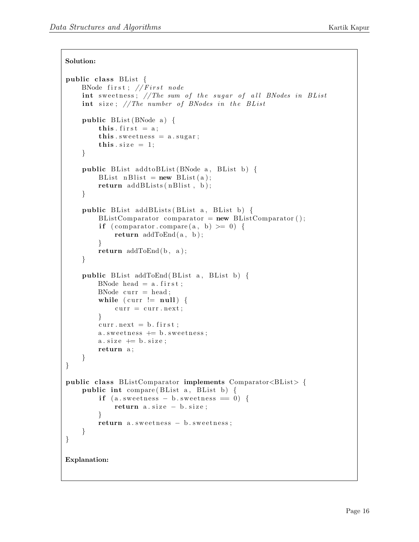```
Solution:
```

```
public class BList {
    BNode first; // First nodeint sweetness; //The sum of the sugar of all BNodes in BList
    int size; // The number of BNodes in the BListpublic BList (BNode a) {
        this . first = a;
        this s sweetness = a. sugar;
        this size = 1;
    }
    public BList addtoBList (BNode a, BList b) {
        BList n \text{Blist} = \text{new Blist}(a);return addBLists(nBlist, b);}
    public BList addBLists (BList a, BList b) {
        BListComparator comparator = new BListComparator ();
        if (comparator compare (a, b) \ge 0) {
            return addToEnd(a, b);}
        return addToEnd(b, a);}
    public BList addToEnd (BList a, BList b) {
        BNode head = a. first;
        BNode curr = head;while (curr != null) {
            curr = curr.next;}
        curr.next = b. first;a.s we thus s += b.s we etness;a.size \text{ += } b.size;return a;
    }
}
public class BListComparator implements Comparator < BListpublic int compare (BList a, BList b) {
        if (a.sweetness - b.sweetness = 0) {
            return a.size - b.size;}
        return a.s we etness - b.s we etness;}
}
Explanation:
```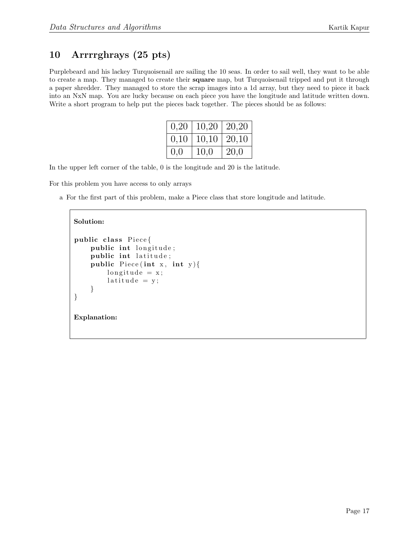# 10 Arrrrghrays (25 pts)

Purplebeard and his lackey Turquoisenail are sailing the 10 seas. In order to sail well, they want to be able to create a map. They managed to create their square map, but Turquoisenail tripped and put it through a paper shredder. They managed to store the scrap images into a 1d array, but they need to piece it back into an NxN map. You are lucky because on each piece you have the longitude and latitude written down. Write a short program to help put the pieces back together. The pieces should be as follows:

| 0,20 | $10,20 \mid 20,20$ |         |
|------|--------------------|---------|
| 0,10 | 10,10              | $20,10$ |
| 0,0  | 10,0               | 20,0    |

In the upper left corner of the table, 0 is the longitude and 20 is the latitude.

For this problem you have access to only arrays

a For the first part of this problem, make a Piece class that store longitude and latitude.

```
public class Piece {
    public int longitude;
    public int latitude;
    public Piece (int x, int y) {
        longitude = x;lattice = y;}
}
Explanation:
```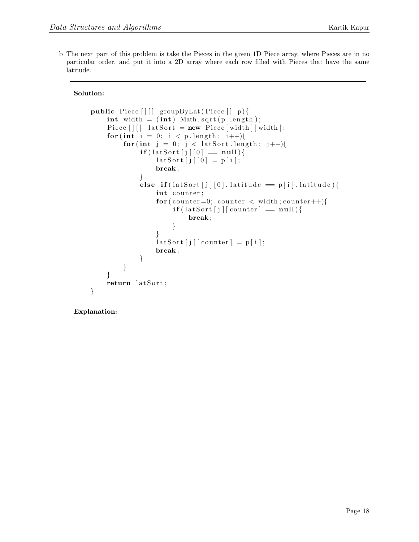b The next part of this problem is take the Pieces in the given 1D Piece array, where Pieces are in no particular order, and put it into a 2D array where each row filled with Pieces that have the same latitude.

```
public Piece [] [] groupByLat (Piece [] p) \{\textbf{int} \text{ width} = (\textbf{int}) \text{ Math.} \text{sqrt}(\text{p.length});Piece [|||] lat Sort = new Piece [width | [width ];
          for (int i = 0; i < p . length; i++){
                for (int j = 0; j < latSort.length; j++){
                      \mathbf{if}(\text{lastSort}[j][0] == \text{null})\text{latSort} [j] [0] = p[i];break ;
                      }
                     else if (lastSort[j][0]. latitude = p[i]. latitude){
                           int counter;
                           for (counter=0; counter < width; counter++){
                                \textbf{if}(\text{latSort}[j][counter] = null){
                                      break ;
                                }
                           }
                           \lceil \text{latSort} \, [j] \, [\text{counter}] = p[i];break ;
                     }
                }
          }
          return latSort;
     }
Explanation:
```